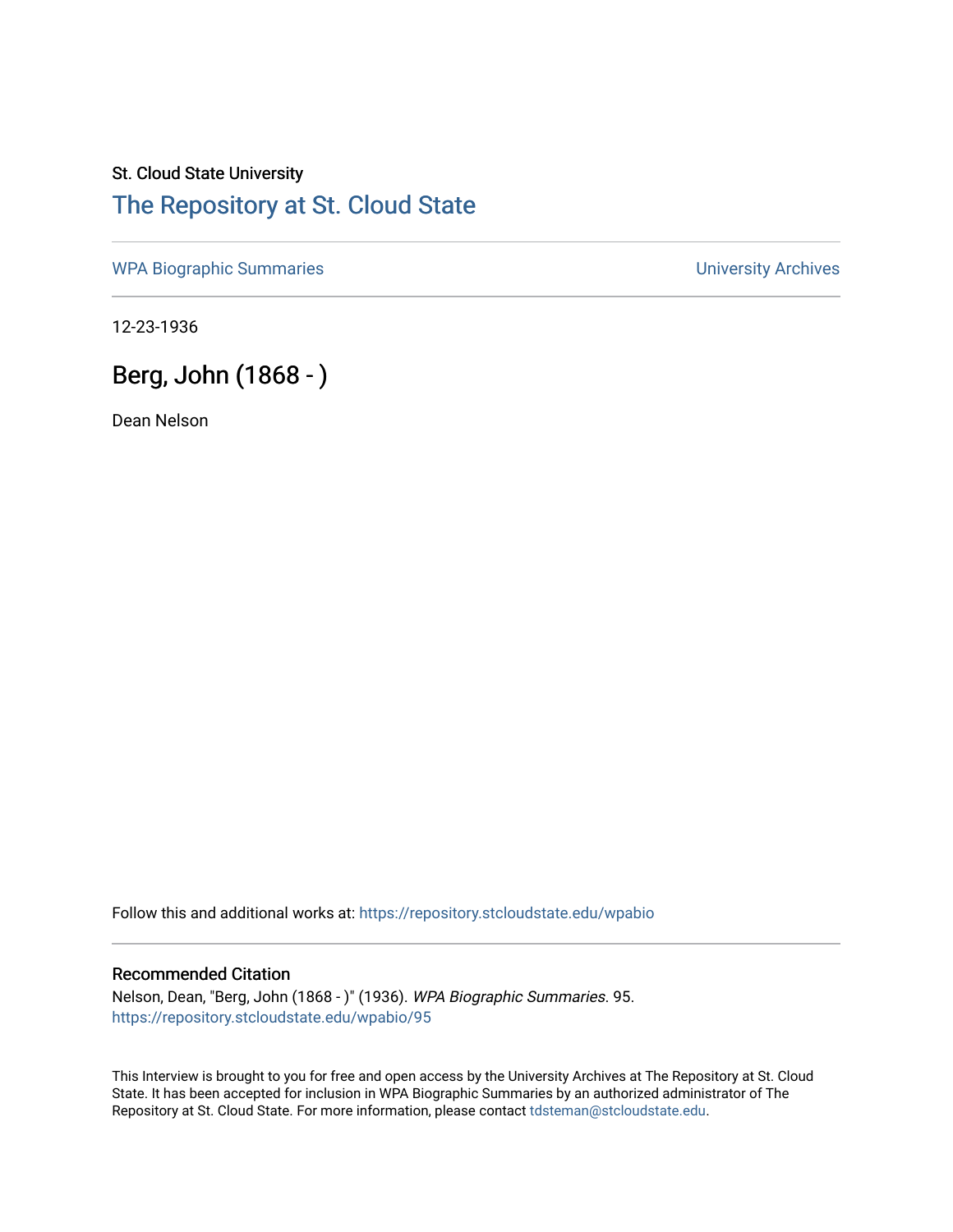## St. Cloud State University [The Repository at St. Cloud State](https://repository.stcloudstate.edu/)

[WPA Biographic Summaries](https://repository.stcloudstate.edu/wpabio) **WPA Biographic Summaries University Archives** 

12-23-1936

# Berg, John (1868 - )

Dean Nelson

Follow this and additional works at: [https://repository.stcloudstate.edu/wpabio](https://repository.stcloudstate.edu/wpabio?utm_source=repository.stcloudstate.edu%2Fwpabio%2F95&utm_medium=PDF&utm_campaign=PDFCoverPages) 

#### Recommended Citation

Nelson, Dean, "Berg, John (1868 - )" (1936). WPA Biographic Summaries. 95. [https://repository.stcloudstate.edu/wpabio/95](https://repository.stcloudstate.edu/wpabio/95?utm_source=repository.stcloudstate.edu%2Fwpabio%2F95&utm_medium=PDF&utm_campaign=PDFCoverPages)

This Interview is brought to you for free and open access by the University Archives at The Repository at St. Cloud State. It has been accepted for inclusion in WPA Biographic Summaries by an authorized administrator of The Repository at St. Cloud State. For more information, please contact [tdsteman@stcloudstate.edu.](mailto:tdsteman@stcloudstate.edu)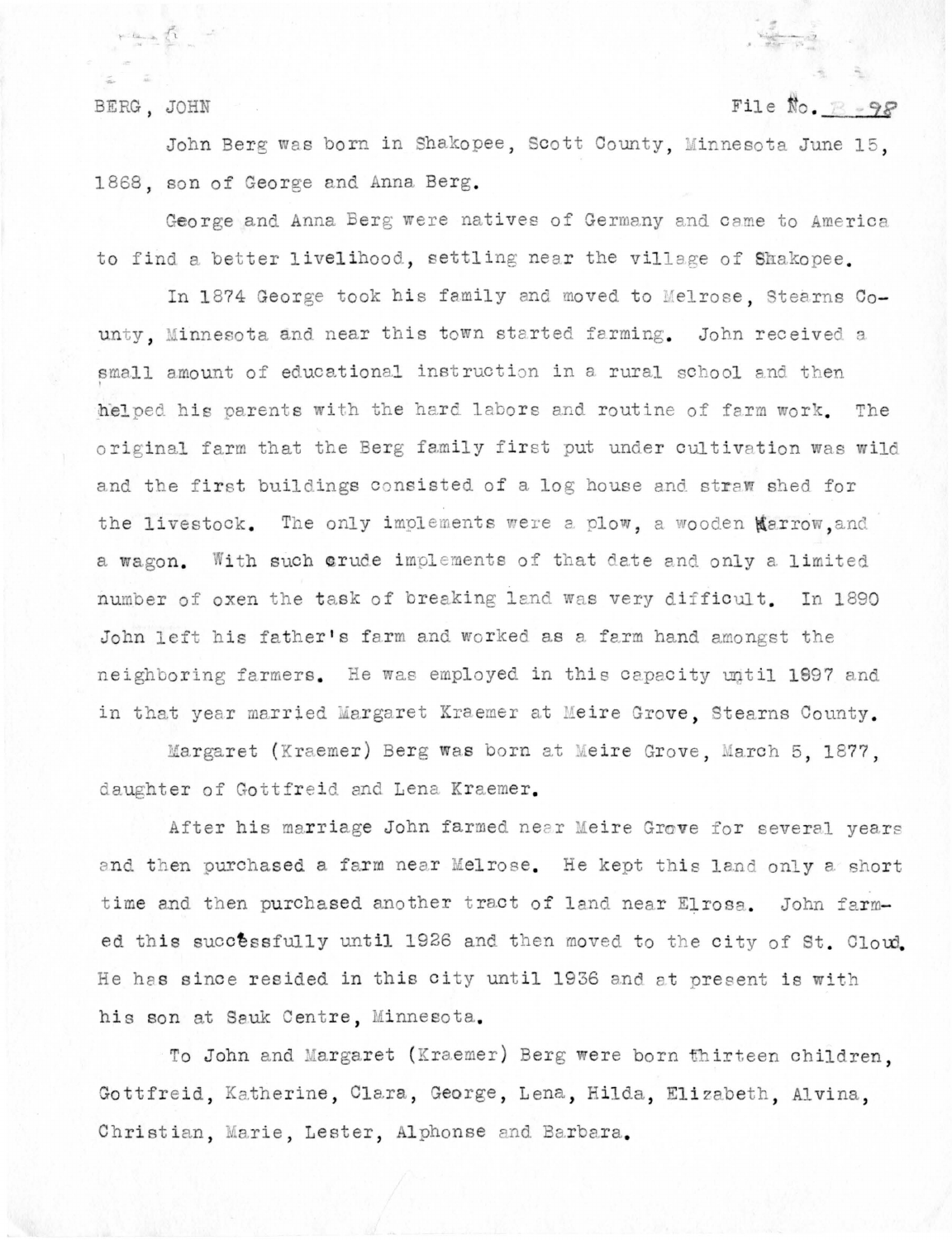BERG, JOHN

### File No.  $R - 9P$

John Berg was born in Shakopee, Scott County, Minnesota June 15. 1868, son of George and Anna Berg.

George and Anna Berg were natives of Germany and came to America to find a better livelihood, settling near the village of Shakopee.

In 1874 George took his family and moved to Melrose, Stearns County. Minnesota and near this town started farming. John received a small amount of educational instruction in a rural school and then helped his parents with the hard labors and routine of farm work. The original farm that the Berg family first put under cultivation was wild and the first buildings consisted of a log house and straw shed for the livestock. The only implements were a plow, a wooden Marrow, and a wagon. With such crude implements of that date and only a limited number of oxen the task of breaking land was very difficult. In 1890 John left his father's farm and worked as a farm hand amongst the neighboring farmers. He was employed in this capacity until 1897 and in that year married Margaret Kraemer at Meire Grove. Stearns County.

Margaret (Kraemer) Berg was born at Meire Grove, March 5, 1877, daughter of Gottfreid and Lena Kraemer.

After his marriage John farmed near Meire Grove for several years and then purchased a farm near Melrose. He kept this land only a short time and then purchased another tract of land near Elrosa. John farmed this successfully until 1926 and then moved to the city of St. Cloud. He has since resided in this city until 1936 and at present is with his son at Sauk Centre, Minnesota.

To John and Margaret (Kraemer) Berg were born thirteen children. Gottfreid, Katherine, Clara, George, Lena, Hilda, Elizabeth, Alvina, Christian, Marie, Lester, Alphonse and Barbara.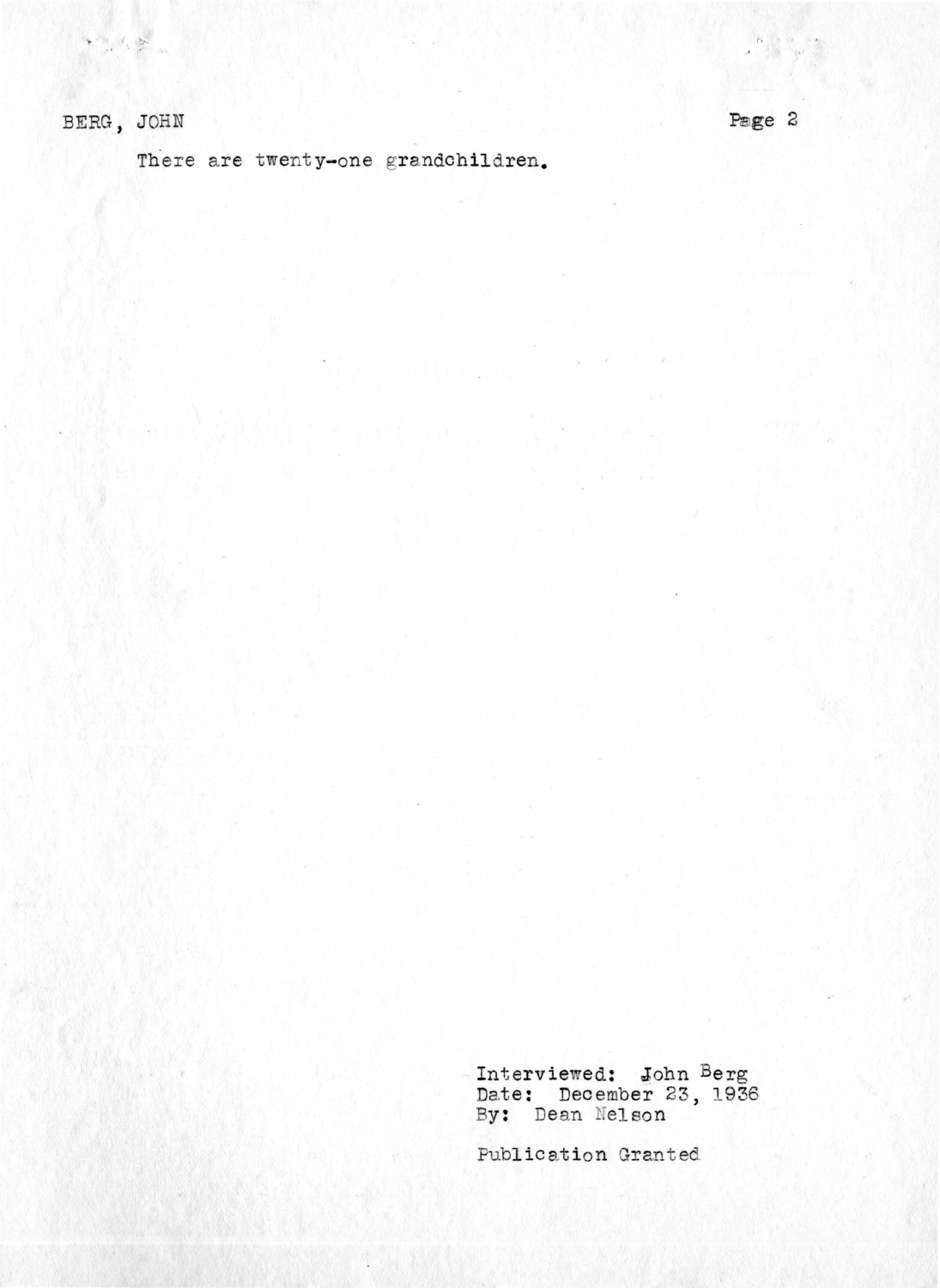There are twenty-one grandchildren.

Interviewed: John Berg<br>Date: December 23, 1936<br>By: Dean Nelson

Publication Granted

Page 2